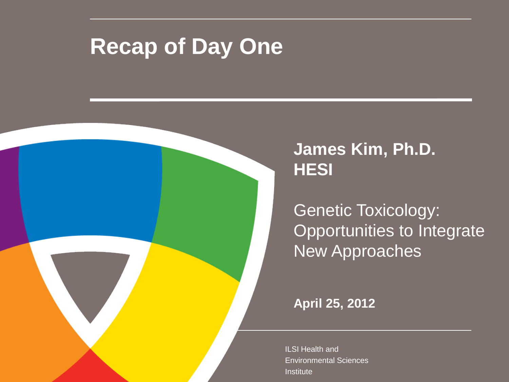## **Recap of Day One**



Genetic Toxicology: Opportunities to Integrate New Approaches

**April 25, 2012**

ILSI Health and Environmental Sciences Institute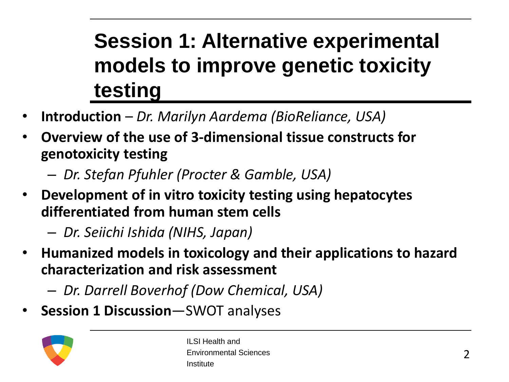## **Session 1: Alternative experimental models to improve genetic toxicity testing**

- **Introduction**  *Dr. Marilyn Aardema (BioReliance, USA)*
- **Overview of the use of 3-dimensional tissue constructs for genotoxicity testing**
	- *Dr. Stefan Pfuhler (Procter & Gamble, USA)*
- **Development of in vitro toxicity testing using hepatocytes differentiated from human stem cells**

– *Dr. Seiichi Ishida (NIHS, Japan)*

- **Humanized models in toxicology and their applications to hazard characterization and risk assessment** 
	- *Dr. Darrell Boverhof (Dow Chemical, USA)*
- **Session 1 Discussion**—SWOT analyses